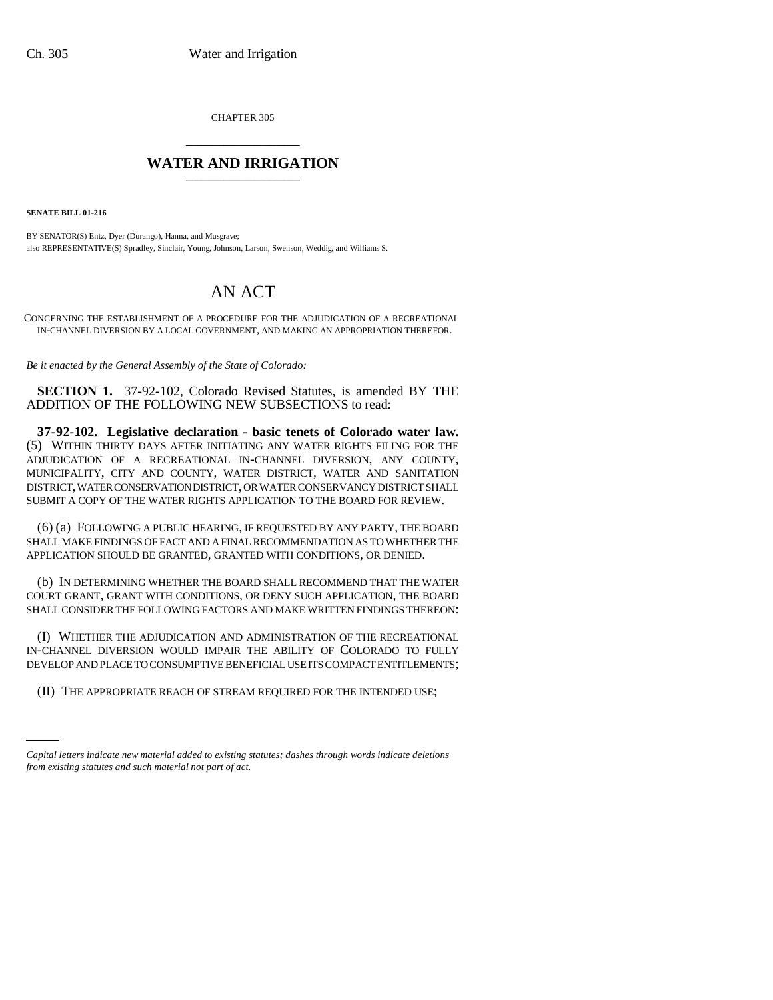CHAPTER 305 \_\_\_\_\_\_\_\_\_\_\_\_\_\_\_

## **WATER AND IRRIGATION** \_\_\_\_\_\_\_\_\_\_\_\_\_\_\_

**SENATE BILL 01-216**

BY SENATOR(S) Entz, Dyer (Durango), Hanna, and Musgrave; also REPRESENTATIVE(S) Spradley, Sinclair, Young, Johnson, Larson, Swenson, Weddig, and Williams S.

## AN ACT

CONCERNING THE ESTABLISHMENT OF A PROCEDURE FOR THE ADJUDICATION OF A RECREATIONAL IN-CHANNEL DIVERSION BY A LOCAL GOVERNMENT, AND MAKING AN APPROPRIATION THEREFOR.

*Be it enacted by the General Assembly of the State of Colorado:*

**SECTION 1.** 37-92-102, Colorado Revised Statutes, is amended BY THE ADDITION OF THE FOLLOWING NEW SUBSECTIONS to read:

**37-92-102. Legislative declaration - basic tenets of Colorado water law.** (5) WITHIN THIRTY DAYS AFTER INITIATING ANY WATER RIGHTS FILING FOR THE ADJUDICATION OF A RECREATIONAL IN-CHANNEL DIVERSION, ANY COUNTY, MUNICIPALITY, CITY AND COUNTY, WATER DISTRICT, WATER AND SANITATION DISTRICT, WATER CONSERVATION DISTRICT, OR WATER CONSERVANCY DISTRICT SHALL SUBMIT A COPY OF THE WATER RIGHTS APPLICATION TO THE BOARD FOR REVIEW.

(6) (a) FOLLOWING A PUBLIC HEARING, IF REQUESTED BY ANY PARTY, THE BOARD SHALL MAKE FINDINGS OF FACT AND A FINAL RECOMMENDATION AS TO WHETHER THE APPLICATION SHOULD BE GRANTED, GRANTED WITH CONDITIONS, OR DENIED.

(b) IN DETERMINING WHETHER THE BOARD SHALL RECOMMEND THAT THE WATER COURT GRANT, GRANT WITH CONDITIONS, OR DENY SUCH APPLICATION, THE BOARD SHALL CONSIDER THE FOLLOWING FACTORS AND MAKE WRITTEN FINDINGS THEREON:

(I) WHETHER THE ADJUDICATION AND ADMINISTRATION OF THE RECREATIONAL IN-CHANNEL DIVERSION WOULD IMPAIR THE ABILITY OF COLORADO TO FULLY DEVELOP AND PLACE TO CONSUMPTIVE BENEFICIAL USE ITS COMPACT ENTITLEMENTS;

(II) THE APPROPRIATE REACH OF STREAM REQUIRED FOR THE INTENDED USE;

*Capital letters indicate new material added to existing statutes; dashes through words indicate deletions from existing statutes and such material not part of act.*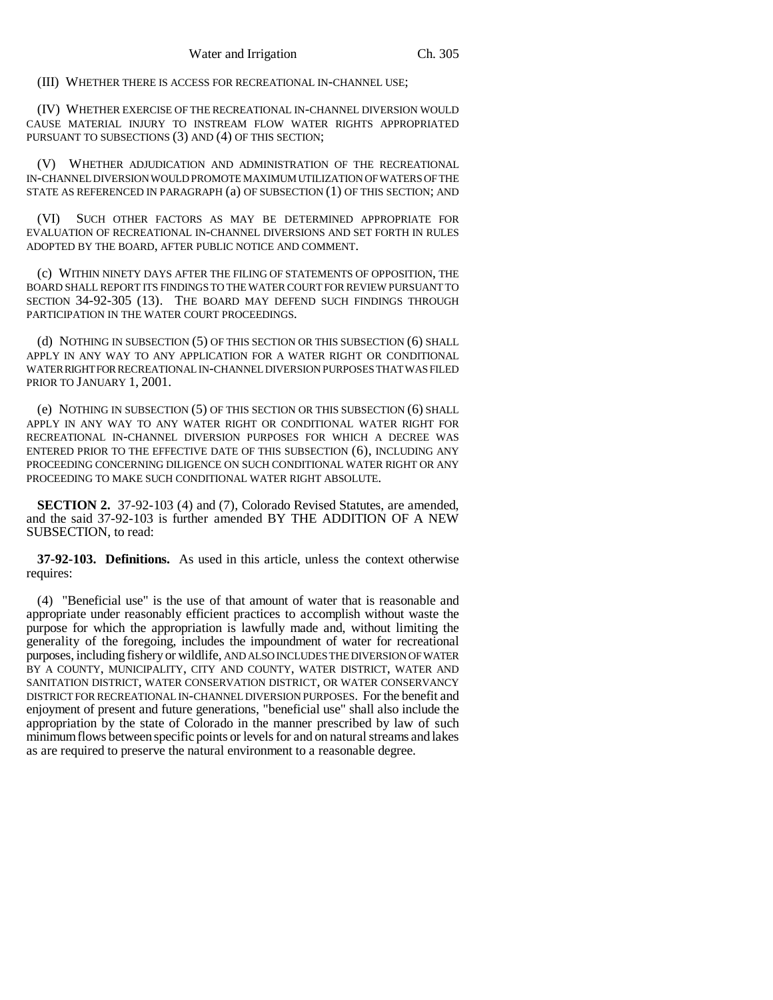(III) WHETHER THERE IS ACCESS FOR RECREATIONAL IN-CHANNEL USE;

(IV) WHETHER EXERCISE OF THE RECREATIONAL IN-CHANNEL DIVERSION WOULD CAUSE MATERIAL INJURY TO INSTREAM FLOW WATER RIGHTS APPROPRIATED PURSUANT TO SUBSECTIONS (3) AND (4) OF THIS SECTION;

(V) WHETHER ADJUDICATION AND ADMINISTRATION OF THE RECREATIONAL IN-CHANNEL DIVERSION WOULD PROMOTE MAXIMUM UTILIZATION OF WATERS OF THE STATE AS REFERENCED IN PARAGRAPH (a) OF SUBSECTION (1) OF THIS SECTION; AND

(VI) SUCH OTHER FACTORS AS MAY BE DETERMINED APPROPRIATE FOR EVALUATION OF RECREATIONAL IN-CHANNEL DIVERSIONS AND SET FORTH IN RULES ADOPTED BY THE BOARD, AFTER PUBLIC NOTICE AND COMMENT.

(c) WITHIN NINETY DAYS AFTER THE FILING OF STATEMENTS OF OPPOSITION, THE BOARD SHALL REPORT ITS FINDINGS TO THE WATER COURT FOR REVIEW PURSUANT TO SECTION 34-92-305 (13). THE BOARD MAY DEFEND SUCH FINDINGS THROUGH PARTICIPATION IN THE WATER COURT PROCEEDINGS.

(d) NOTHING IN SUBSECTION (5) OF THIS SECTION OR THIS SUBSECTION (6) SHALL APPLY IN ANY WAY TO ANY APPLICATION FOR A WATER RIGHT OR CONDITIONAL WATER RIGHT FOR RECREATIONAL IN-CHANNEL DIVERSION PURPOSES THAT WAS FILED PRIOR TO JANUARY 1, 2001.

(e) NOTHING IN SUBSECTION (5) OF THIS SECTION OR THIS SUBSECTION (6) SHALL APPLY IN ANY WAY TO ANY WATER RIGHT OR CONDITIONAL WATER RIGHT FOR RECREATIONAL IN-CHANNEL DIVERSION PURPOSES FOR WHICH A DECREE WAS ENTERED PRIOR TO THE EFFECTIVE DATE OF THIS SUBSECTION (6), INCLUDING ANY PROCEEDING CONCERNING DILIGENCE ON SUCH CONDITIONAL WATER RIGHT OR ANY PROCEEDING TO MAKE SUCH CONDITIONAL WATER RIGHT ABSOLUTE.

**SECTION 2.** 37-92-103 (4) and (7), Colorado Revised Statutes, are amended, and the said 37-92-103 is further amended BY THE ADDITION OF A NEW SUBSECTION, to read:

**37-92-103. Definitions.** As used in this article, unless the context otherwise requires:

(4) "Beneficial use" is the use of that amount of water that is reasonable and appropriate under reasonably efficient practices to accomplish without waste the purpose for which the appropriation is lawfully made and, without limiting the generality of the foregoing, includes the impoundment of water for recreational purposes, including fishery or wildlife, AND ALSO INCLUDES THE DIVERSION OF WATER BY A COUNTY, MUNICIPALITY, CITY AND COUNTY, WATER DISTRICT, WATER AND SANITATION DISTRICT, WATER CONSERVATION DISTRICT, OR WATER CONSERVANCY DISTRICT FOR RECREATIONAL IN-CHANNEL DIVERSION PURPOSES. For the benefit and enjoyment of present and future generations, "beneficial use" shall also include the appropriation by the state of Colorado in the manner prescribed by law of such minimum flows between specific points or levels for and on natural streams and lakes as are required to preserve the natural environment to a reasonable degree.